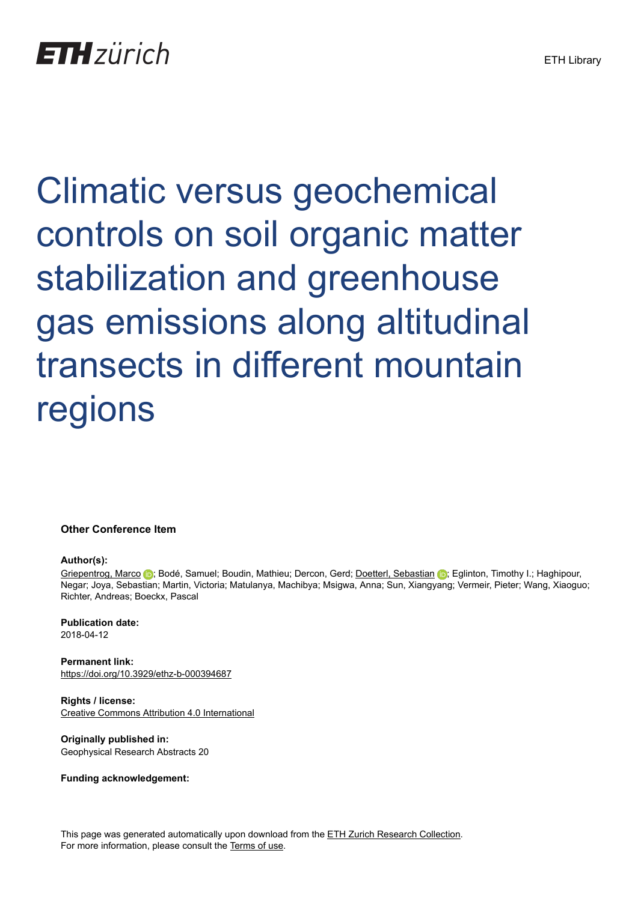Climatic versus geochemical controls on soil organic matter stabilization and greenhouse gas emissions along altitudinal transects in different mountain regions

**Other Conference Item**

## **Author(s):**

[Griepentrog, Marco](https://orcid.org/0000-0002-9452-9903) **D**: Bodé, Samuel: Boudin, Mathieu; Dercon, Gerd; [Doetterl, Sebastian](https://orcid.org/0000-0002-0986-891X) **D**: Eglinton, Timothy I.; Haghipour, Negar; Joya, Sebastian; Martin, Victoria; Matulanya, Machibya; Msigwa, Anna; Sun, Xiangyang; Vermeir, Pieter; Wang, Xiaoguo; Richter, Andreas; Boeckx, Pascal

**Publication date:** 2018-04-12

**Permanent link:** <https://doi.org/10.3929/ethz-b-000394687>

**Rights / license:** [Creative Commons Attribution 4.0 International](http://creativecommons.org/licenses/by/4.0/)

**Originally published in:** Geophysical Research Abstracts 20

**Funding acknowledgement:**

This page was generated automatically upon download from the [ETH Zurich Research Collection.](https://www.research-collection.ethz.ch) For more information, please consult the [Terms of use](https://www.research-collection.ethz.ch/terms-of-use).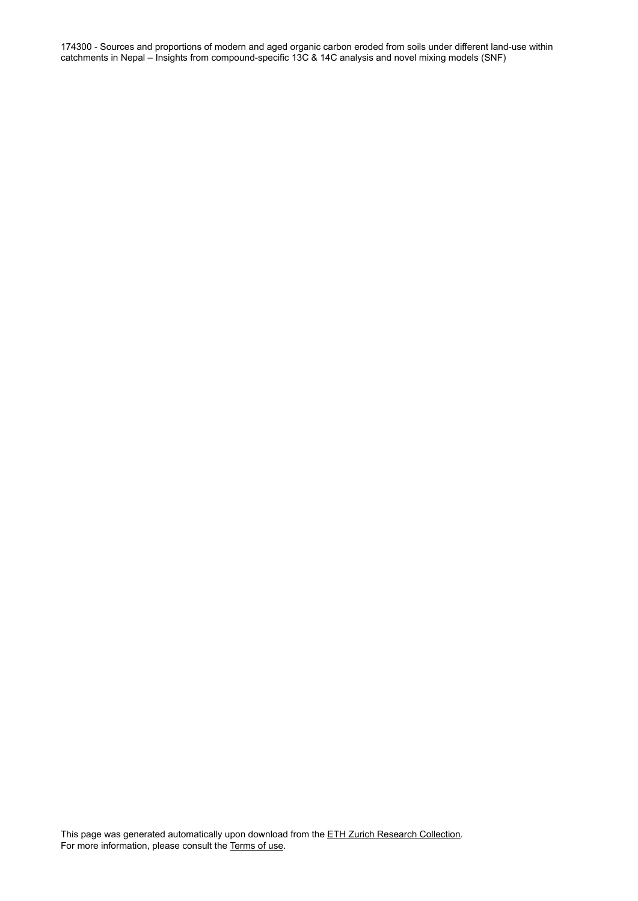174300 - Sources and proportions of modern and aged organic carbon eroded from soils under different land-use within catchments in Nepal – Insights from compound-specific 13C & 14C analysis and novel mixing models (SNF)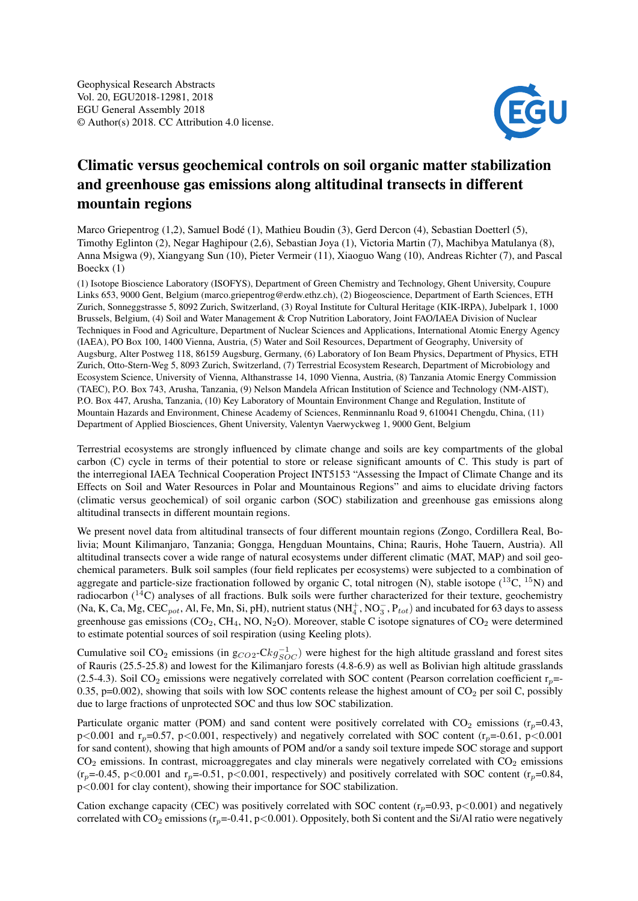

## Climatic versus geochemical controls on soil organic matter stabilization and greenhouse gas emissions along altitudinal transects in different mountain regions

Marco Griepentrog (1,2), Samuel Bodé (1), Mathieu Boudin (3), Gerd Dercon (4), Sebastian Doetterl (5), Timothy Eglinton (2), Negar Haghipour (2,6), Sebastian Joya (1), Victoria Martin (7), Machibya Matulanya (8), Anna Msigwa (9), Xiangyang Sun (10), Pieter Vermeir (11), Xiaoguo Wang (10), Andreas Richter (7), and Pascal Boeckx (1)

(1) Isotope Bioscience Laboratory (ISOFYS), Department of Green Chemistry and Technology, Ghent University, Coupure Links 653, 9000 Gent, Belgium (marco.griepentrog@erdw.ethz.ch), (2) Biogeoscience, Department of Earth Sciences, ETH Zurich, Sonneggstrasse 5, 8092 Zurich, Switzerland, (3) Royal Institute for Cultural Heritage (KIK-IRPA), Jubelpark 1, 1000 Brussels, Belgium, (4) Soil and Water Management & Crop Nutrition Laboratory, Joint FAO/IAEA Division of Nuclear Techniques in Food and Agriculture, Department of Nuclear Sciences and Applications, International Atomic Energy Agency (IAEA), PO Box 100, 1400 Vienna, Austria, (5) Water and Soil Resources, Department of Geography, University of Augsburg, Alter Postweg 118, 86159 Augsburg, Germany, (6) Laboratory of Ion Beam Physics, Department of Physics, ETH Zurich, Otto-Stern-Weg 5, 8093 Zurich, Switzerland, (7) Terrestrial Ecosystem Research, Department of Microbiology and Ecosystem Science, University of Vienna, Althanstrasse 14, 1090 Vienna, Austria, (8) Tanzania Atomic Energy Commission (TAEC), P.O. Box 743, Arusha, Tanzania, (9) Nelson Mandela African Institution of Science and Technology (NM-AIST), P.O. Box 447, Arusha, Tanzania, (10) Key Laboratory of Mountain Environment Change and Regulation, Institute of Mountain Hazards and Environment, Chinese Academy of Sciences, Renminnanlu Road 9, 610041 Chengdu, China, (11) Department of Applied Biosciences, Ghent University, Valentyn Vaerwyckweg 1, 9000 Gent, Belgium

Terrestrial ecosystems are strongly influenced by climate change and soils are key compartments of the global carbon (C) cycle in terms of their potential to store or release significant amounts of C. This study is part of the interregional IAEA Technical Cooperation Project INT5153 "Assessing the Impact of Climate Change and its Effects on Soil and Water Resources in Polar and Mountainous Regions" and aims to elucidate driving factors (climatic versus geochemical) of soil organic carbon (SOC) stabilization and greenhouse gas emissions along altitudinal transects in different mountain regions.

We present novel data from altitudinal transects of four different mountain regions (Zongo, Cordillera Real, Bolivia; Mount Kilimanjaro, Tanzania; Gongga, Hengduan Mountains, China; Rauris, Hohe Tauern, Austria). All altitudinal transects cover a wide range of natural ecosystems under different climatic (MAT, MAP) and soil geochemical parameters. Bulk soil samples (four field replicates per ecosystems) were subjected to a combination of aggregate and particle-size fractionation followed by organic C, total nitrogen (N), stable isotope  $(^{13}C, ^{15}N)$  and radiocarbon  $(^{14}C)$  analyses of all fractions. Bulk soils were further characterized for their texture, geochemistry (Na, K, Ca, Mg, CEC<sub>pot</sub>, Al, Fe, Mn, Si, pH), nutrient status (NH<sup>+</sup><sub>4</sub>, NO<sub>3</sub>, P<sub>tot</sub>) and incubated for 63 days to assess greenhouse gas emissions ( $CO_2$ ,  $CH_4$ , NO, N<sub>2</sub>O). Moreover, stable C isotope signatures of  $CO_2$  were determined to estimate potential sources of soil respiration (using Keeling plots).

Cumulative soil CO<sub>2</sub> emissions (in  $g_{CO2}$ -C $kg_{SOC}^{-1}$ ) were highest for the high altitude grassland and forest sites of Rauris (25.5-25.8) and lowest for the Kilimanjaro forests (4.8-6.9) as well as Bolivian high altitude grasslands (2.5-4.3). Soil CO<sub>2</sub> emissions were negatively correlated with SOC content (Pearson correlation coefficient  $r_p$ =-0.35, p=0.002), showing that soils with low SOC contents release the highest amount of  $CO<sub>2</sub>$  per soil C, possibly due to large fractions of unprotected SOC and thus low SOC stabilization.

Particulate organic matter (POM) and sand content were positively correlated with  $CO_2$  emissions ( $r_n$ =0.43,  $p \le 0.001$  and  $r_p = 0.57$ ,  $p \le 0.001$ , respectively) and negatively correlated with SOC content ( $r_p = 0.61$ ,  $p \le 0.001$ for sand content), showing that high amounts of POM and/or a sandy soil texture impede SOC storage and support  $CO<sub>2</sub>$  emissions. In contrast, microaggregates and clay minerals were negatively correlated with  $CO<sub>2</sub>$  emissions  $(r_p=0.45, p<0.001$  and  $r_p=0.51, p<0.001$ , respectively) and positively correlated with SOC content ( $r_p=0.84$ , p<0.001 for clay content), showing their importance for SOC stabilization.

Cation exchange capacity (CEC) was positively correlated with SOC content ( $r_p$ =0.93, p<0.001) and negatively correlated with  $CO_2$  emissions ( $r_p$ =-0.41, p<0.001). Oppositely, both Si content and the Si/Al ratio were negatively